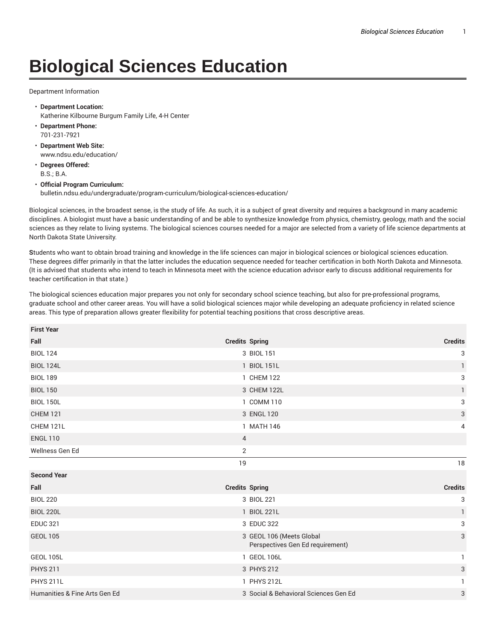## **Biological Sciences Education**

Department Information

- **Department Location:** Katherine Kilbourne Burgum Family Life, 4-H Center
- **Department Phone:** 701-231-7921
- **Department Web Site:** www.ndsu.edu/education/
- **Degrees Offered:** B.S.; B.A.

• **Official Program Curriculum:** bulletin.ndsu.edu/undergraduate/program-curriculum/biological-sciences-education/

Biological sciences, in the broadest sense, is the study of life. As such, it is a subject of great diversity and requires a background in many academic disciplines. A biologist must have a basic understanding of and be able to synthesize knowledge from physics, chemistry, geology, math and the social sciences as they relate to living systems. The biological sciences courses needed for a major are selected from a variety of life science departments at North Dakota State University.

**S**tudents who want to obtain broad training and knowledge in the life sciences can major in biological sciences or biological sciences education. These degrees differ primarily in that the latter includes the education sequence needed for teacher certification in both North Dakota and Minnesota. (It is advised that students who intend to teach in Minnesota meet with the science education advisor early to discuss additional requirements for teacher certification in that state.)

The biological sciences education major prepares you not only for secondary school science teaching, but also for pre-professional programs, graduate school and other career areas. You will have a solid biological sciences major while developing an adequate proficiency in related science areas. This type of preparation allows greater flexibility for potential teaching positions that cross descriptive areas.

| <b>First Year</b>             |                          |                                       |                |
|-------------------------------|--------------------------|---------------------------------------|----------------|
| Fall                          | <b>Credits Spring</b>    |                                       | <b>Credits</b> |
| <b>BIOL 124</b>               | 3 BIOL 151               |                                       | 3              |
| <b>BIOL 124L</b>              | 1 BIOL 151L              |                                       | 1              |
| <b>BIOL 189</b>               | 1 CHEM 122               |                                       | 3              |
| <b>BIOL 150</b>               | 3 CHEM 122L              |                                       | 1              |
| <b>BIOL 150L</b>              | 1 COMM 110               |                                       | 3              |
| <b>CHEM 121</b>               | 3 ENGL 120               |                                       | $\sqrt{3}$     |
| CHEM 121L                     | 1 MATH 146               |                                       | 4              |
| <b>ENGL 110</b>               | $\overline{4}$           |                                       |                |
| Wellness Gen Ed               | 2                        |                                       |                |
|                               | 19                       |                                       | $18\,$         |
| <b>Second Year</b>            |                          |                                       |                |
| Fall                          | <b>Credits Spring</b>    |                                       | <b>Credits</b> |
| <b>BIOL 220</b>               | 3 BIOL 221               |                                       | 3              |
| <b>BIOL 220L</b>              | 1 BIOL 221L              |                                       | $\mathbf{1}$   |
| <b>EDUC 321</b>               | 3 EDUC 322               |                                       | 3              |
| <b>GEOL 105</b>               | 3 GEOL 106 (Meets Global | Perspectives Gen Ed requirement)      | 3              |
| <b>GEOL 105L</b>              | 1 GEOL 106L              |                                       |                |
| <b>PHYS 211</b>               | 3 PHYS 212               |                                       | 3              |
| <b>PHYS 211L</b>              | 1 PHYS 212L              |                                       | 1              |
| Humanities & Fine Arts Gen Ed |                          | 3 Social & Behavioral Sciences Gen Ed | 3              |